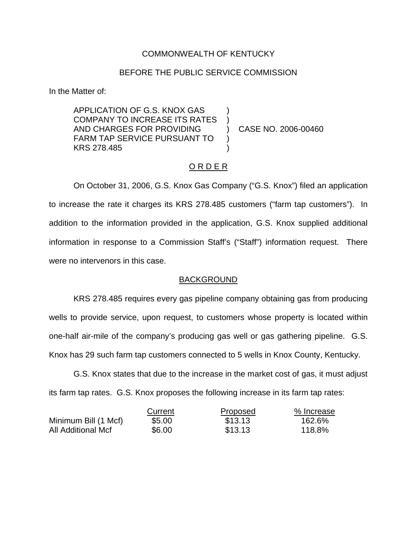## COMMONWEALTH OF KENTUCKY

### BEFORE THE PUBLIC SERVICE COMMISSION

) )

) )

In the Matter of:

APPLICATION OF G.S. KNOX GAS COMPANY TO INCREASE ITS RATES AND CHARGES FOR PROVIDING FARM TAP SERVICE PURSUANT TO KRS 278.485

) CASE NO. 2006-00460

#### O R D E R

On October 31, 2006, G.S. Knox Gas Company ("G.S. Knox") filed an application to increase the rate it charges its KRS 278.485 customers ("farm tap customers"). In addition to the information provided in the application, G.S. Knox supplied additional information in response to a Commission Staff's ("Staff") information request. There were no intervenors in this case.

#### BACKGROUND

KRS 278.485 requires every gas pipeline company obtaining gas from producing wells to provide service, upon request, to customers whose property is located within one-half air-mile of the company's producing gas well or gas gathering pipeline. G.S. Knox has 29 such farm tap customers connected to 5 wells in Knox County, Kentucky.

G.S. Knox states that due to the increase in the market cost of gas, it must adjust its farm tap rates. G.S. Knox proposes the following increase in its farm tap rates:

|                      | Current | Proposed | % Increase |
|----------------------|---------|----------|------------|
| Minimum Bill (1 Mcf) | \$5.00  | \$13.13  | 162.6%     |
| All Additional Mcf   | \$6.00  | \$13.13  | 118.8%     |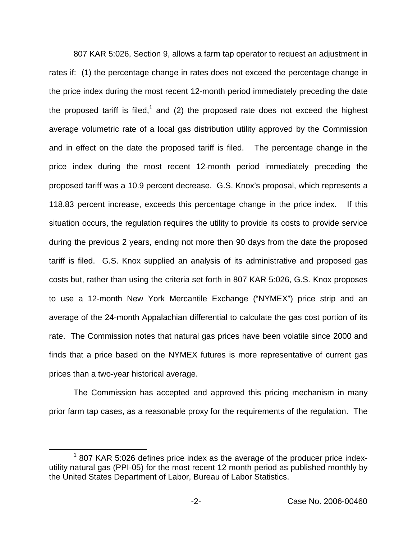807 KAR 5:026, Section 9, allows a farm tap operator to request an adjustment in rates if: (1) the percentage change in rates does not exceed the percentage change in the price index during the most recent 12-month period immediately preceding the date the proposed tariff is filed,<sup>1</sup> and (2) the proposed rate does not exceed the highest average volumetric rate of a local gas distribution utility approved by the Commission and in effect on the date the proposed tariff is filed. The percentage change in the price index during the most recent 12-month period immediately preceding the proposed tariff was a 10.9 percent decrease. G.S. Knox's proposal, which represents a 118.83 percent increase, exceeds this percentage change in the price index. If this situation occurs, the regulation requires the utility to provide its costs to provide service during the previous 2 years, ending not more then 90 days from the date the proposed tariff is filed. G.S. Knox supplied an analysis of its administrative and proposed gas costs but, rather than using the criteria set forth in 807 KAR 5:026, G.S. Knox proposes to use a 12-month New York Mercantile Exchange ("NYMEX") price strip and an average of the 24-month Appalachian differential to calculate the gas cost portion of its rate. The Commission notes that natural gas prices have been volatile since 2000 and finds that a price based on the NYMEX futures is more representative of current gas prices than a two-year historical average.

The Commission has accepted and approved this pricing mechanism in many prior farm tap cases, as a reasonable proxy for the requirements of the regulation. The

 $1$  807 KAR 5:026 defines price index as the average of the producer price indexutility natural gas (PPI-05) for the most recent 12 month period as published monthly by the United States Department of Labor, Bureau of Labor Statistics.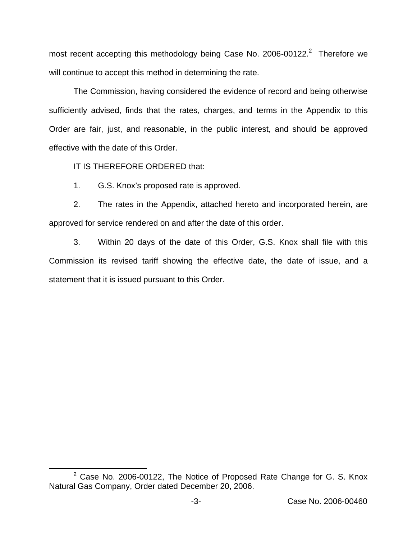most recent accepting this methodology being Case No. 2006-00122.<sup>2</sup> Therefore we will continue to accept this method in determining the rate.

The Commission, having considered the evidence of record and being otherwise sufficiently advised, finds that the rates, charges, and terms in the Appendix to this Order are fair, just, and reasonable, in the public interest, and should be approved effective with the date of this Order.

IT IS THEREFORE ORDERED that:

1. G.S. Knox's proposed rate is approved.

2. The rates in the Appendix, attached hereto and incorporated herein, are approved for service rendered on and after the date of this order.

3. Within 20 days of the date of this Order, G.S. Knox shall file with this Commission its revised tariff showing the effective date, the date of issue, and a statement that it is issued pursuant to this Order.

 $2^2$  Case No. 2006-00122, The Notice of Proposed Rate Change for G. S. Knox Natural Gas Company, Order dated December 20, 2006.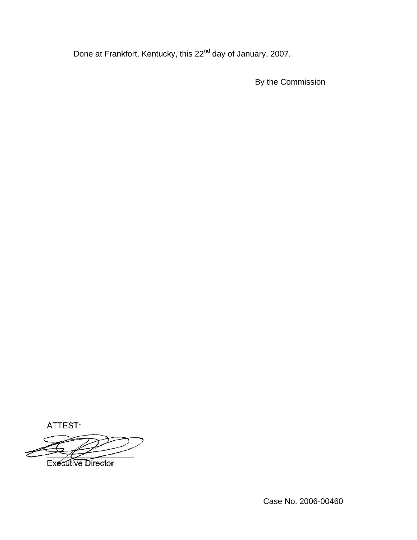Done at Frankfort, Kentucky, this 22<sup>nd</sup> day of January, 2007.

By the Commission

ATTEST:

**Executive Director** 

Case No. 2006-00460